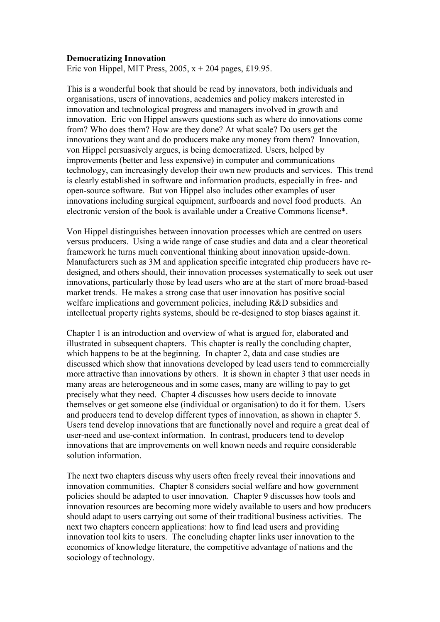## Democratizing Innovation

Eric von Hippel, MIT Press, 2005,  $x + 204$  pages, £19.95.

This is a wonderful book that should be read by innovators, both individuals and organisations, users of innovations, academics and policy makers interested in innovation and technological progress and managers involved in growth and innovation. Eric von Hippel answers questions such as where do innovations come from? Who does them? How are they done? At what scale? Do users get the innovations they want and do producers make any money from them? Innovation, von Hippel persuasively argues, is being democratized. Users, helped by improvements (better and less expensive) in computer and communications technology, can increasingly develop their own new products and services. This trend is clearly established in software and information products, especially in free- and open-source software. But von Hippel also includes other examples of user innovations including surgical equipment, surfboards and novel food products. An electronic version of the book is available under a Creative Commons license\*.

Von Hippel distinguishes between innovation processes which are centred on users versus producers. Using a wide range of case studies and data and a clear theoretical framework he turns much conventional thinking about innovation upside-down. Manufacturers such as 3M and application specific integrated chip producers have redesigned, and others should, their innovation processes systematically to seek out user innovations, particularly those by lead users who are at the start of more broad-based market trends. He makes a strong case that user innovation has positive social welfare implications and government policies, including R&D subsidies and intellectual property rights systems, should be re-designed to stop biases against it.

Chapter 1 is an introduction and overview of what is argued for, elaborated and illustrated in subsequent chapters. This chapter is really the concluding chapter, which happens to be at the beginning. In chapter 2, data and case studies are discussed which show that innovations developed by lead users tend to commercially more attractive than innovations by others. It is shown in chapter 3 that user needs in many areas are heterogeneous and in some cases, many are willing to pay to get precisely what they need. Chapter 4 discusses how users decide to innovate themselves or get someone else (individual or organisation) to do it for them. Users and producers tend to develop different types of innovation, as shown in chapter 5. Users tend develop innovations that are functionally novel and require a great deal of user-need and use-context information. In contrast, producers tend to develop innovations that are improvements on well known needs and require considerable solution information.

The next two chapters discuss why users often freely reveal their innovations and innovation communities. Chapter 8 considers social welfare and how government policies should be adapted to user innovation. Chapter 9 discusses how tools and innovation resources are becoming more widely available to users and how producers should adapt to users carrying out some of their traditional business activities. The next two chapters concern applications: how to find lead users and providing innovation tool kits to users. The concluding chapter links user innovation to the economics of knowledge literature, the competitive advantage of nations and the sociology of technology.